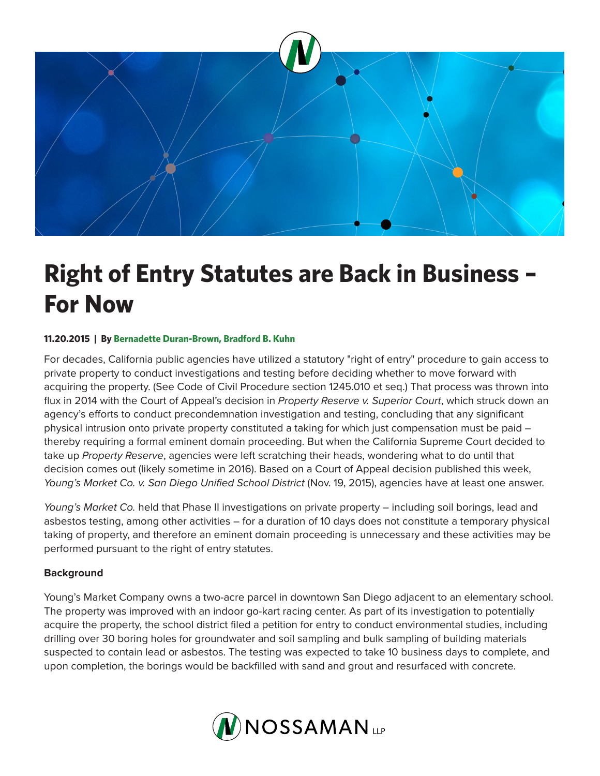

# **Right of Entry Statutes are Back in Business – For Now**

## **11.20.2015 | By Bernadette Duran-Brown, Bradford B. Kuhn**

For decades, California public agencies have utilized a statutory "right of entry" procedure to gain access to private property to conduct investigations and testing before deciding whether to move forward with acquiring the property. (See Code of Civil Procedure section 1245.010 et seq.) That process was thrown into flux in 2014 with the Court of Appeal's decision in *Property Reserve v. Superior Court*, which struck down an agency's efforts to conduct precondemnation investigation and testing, concluding that any significant physical intrusion onto private property constituted a taking for which just compensation must be paid – thereby requiring a formal eminent domain proceeding. But when the California Supreme Court decided to take up *Property Reserve*, agencies were left scratching their heads, wondering what to do until that decision comes out (likely sometime in 2016). Based on a Court of Appeal decision published this week, *Young's Market Co. v. San Diego Unified School District (Nov. 19, 2015), agencies have at least one answer.* 

*Young's Market Co.* held that Phase II investigations on private property – including soil borings, lead and asbestos testing, among other activities – for a duration of 10 days does not constitute a temporary physical taking of property, and therefore an eminent domain proceeding is unnecessary and these activities may be performed pursuant to the right of entry statutes.

#### **Background**

Young's Market Company owns a two-acre parcel in downtown San Diego adjacent to an elementary school. The property was improved with an indoor go-kart racing center. As part of its investigation to potentially acquire the property, the school district filed a petition for entry to conduct environmental studies, including drilling over 30 boring holes for groundwater and soil sampling and bulk sampling of building materials suspected to contain lead or asbestos. The testing was expected to take 10 business days to complete, and upon completion, the borings would be backfilled with sand and grout and resurfaced with concrete.

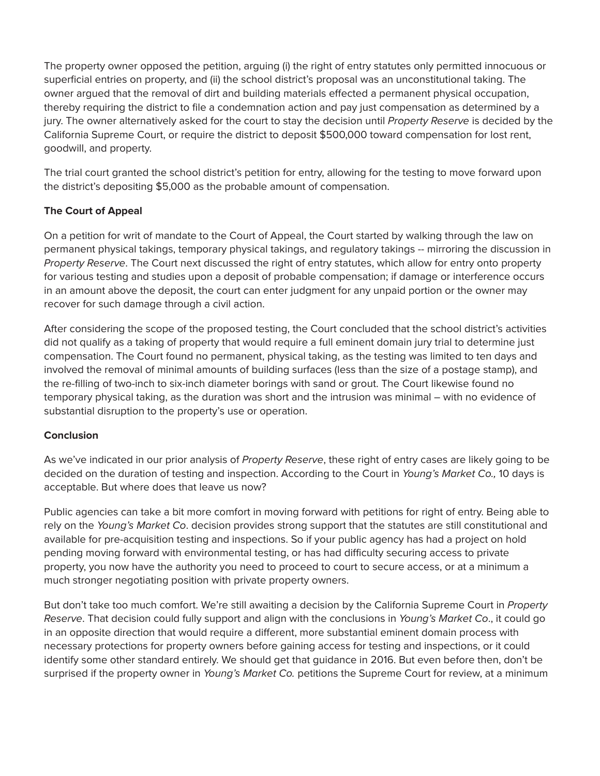The property owner opposed the petition, arguing (i) the right of entry statutes only permitted innocuous or superficial entries on property, and (ii) the school district's proposal was an unconstitutional taking. The owner argued that the removal of dirt and building materials effected a permanent physical occupation, thereby requiring the district to file a condemnation action and pay just compensation as determined by a jury. The owner alternatively asked for the court to stay the decision until *Property Reserve* is decided by the California Supreme Court, or require the district to deposit \$500,000 toward compensation for lost rent, goodwill, and property.

The trial court granted the school district's petition for entry, allowing for the testing to move forward upon the district's depositing \$5,000 as the probable amount of compensation.

# **The Court of Appeal**

On a petition for writ of mandate to the Court of Appeal, the Court started by walking through the law on permanent physical takings, temporary physical takings, and regulatory takings -- mirroring the discussion in *Property Reserve*. The Court next discussed the right of entry statutes, which allow for entry onto property for various testing and studies upon a deposit of probable compensation; if damage or interference occurs in an amount above the deposit, the court can enter judgment for any unpaid portion or the owner may recover for such damage through a civil action.

After considering the scope of the proposed testing, the Court concluded that the school district's activities did not qualify as a taking of property that would require a full eminent domain jury trial to determine just compensation. The Court found no permanent, physical taking, as the testing was limited to ten days and involved the removal of minimal amounts of building surfaces (less than the size of a postage stamp), and the re-filling of two-inch to six-inch diameter borings with sand or grout. The Court likewise found no temporary physical taking, as the duration was short and the intrusion was minimal – with no evidence of substantial disruption to the property's use or operation.

## **Conclusion**

As we've indicated in our prior analysis of *Property Reserve*, these right of entry cases are likely going to be decided on the duration of testing and inspection. According to the Court in *Young's Market Co.,* 10 days is acceptable. But where does that leave us now?

Public agencies can take a bit more comfort in moving forward with petitions for right of entry. Being able to rely on the *Young's Market Co*. decision provides strong support that the statutes are still constitutional and available for pre-acquisition testing and inspections. So if your public agency has had a project on hold pending moving forward with environmental testing, or has had difficulty securing access to private property, you now have the authority you need to proceed to court to secure access, or at a minimum a much stronger negotiating position with private property owners.

But don't take too much comfort. We're still awaiting a decision by the California Supreme Court in *Property Reserve*. That decision could fully support and align with the conclusions in *Young's Market Co*., it could go in an opposite direction that would require a different, more substantial eminent domain process with necessary protections for property owners before gaining access for testing and inspections, or it could identify some other standard entirely. We should get that guidance in 2016. But even before then, don't be surprised if the property owner in *Young's Market Co.* petitions the Supreme Court for review, at a minimum